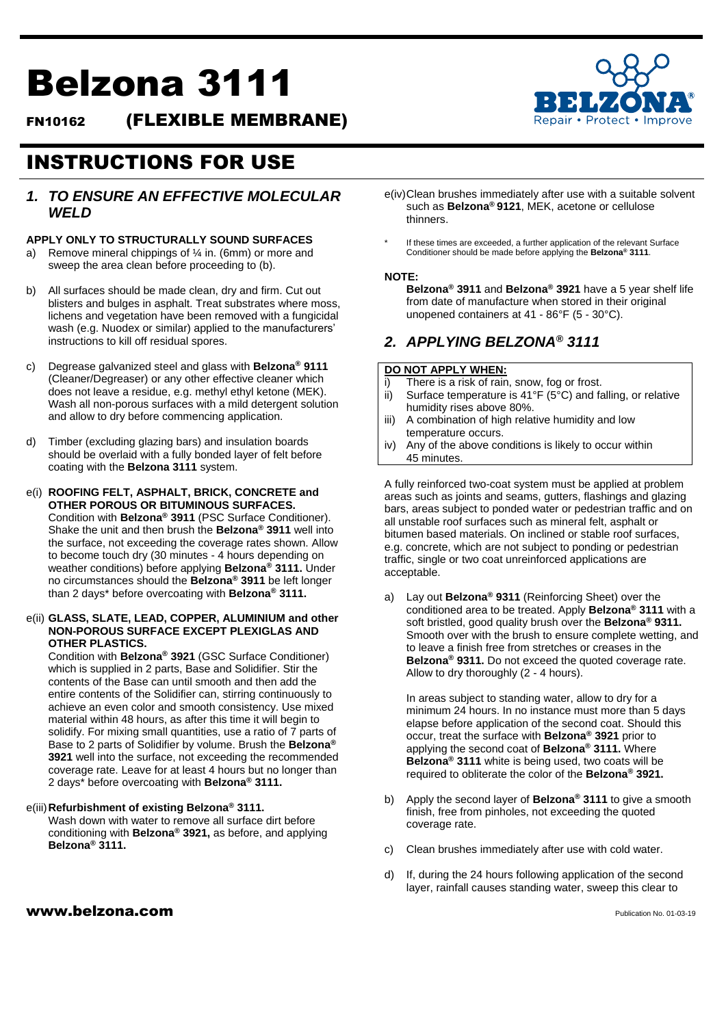# Belzona 3111

FN10162 (FLEXIBLE MEMBRANE)



# *1. TO ENSURE AN EFFECTIVE MOLECULAR WELD*

#### **APPLY ONLY TO STRUCTURALLY SOUND SURFACES**

- a) Remove mineral chippings of ¼ in. (6mm) or more and sweep the area clean before proceeding to (b).
- b) All surfaces should be made clean, dry and firm. Cut out blisters and bulges in asphalt. Treat substrates where moss, lichens and vegetation have been removed with a fungicidal wash (e.g. Nuodex or similar) applied to the manufacturers' instructions to kill off residual spores.
- c) Degrease galvanized steel and glass with **Belzona® 9111** (Cleaner/Degreaser) or any other effective cleaner which does not leave a residue, e.g. methyl ethyl ketone (MEK). Wash all non-porous surfaces with a mild detergent solution and allow to dry before commencing application.
- d) Timber (excluding glazing bars) and insulation boards should be overlaid with a fully bonded layer of felt before coating with the **Belzona 3111** system.
- e(i) **ROOFING FELT, ASPHALT, BRICK, CONCRETE and OTHER POROUS OR BITUMINOUS SURFACES.** Condition with **Belzona® 3911** (PSC Surface Conditioner). Shake the unit and then brush the **Belzona® 3911** well into the surface, not exceeding the coverage rates shown. Allow to become touch dry (30 minutes - 4 hours depending on weather conditions) before applying **Belzona® 3111.** Under no circumstances should the **Belzona® 3911** be left longer than 2 days\* before overcoating with **Belzona® 3111.**

#### e(ii) **GLASS, SLATE, LEAD, COPPER, ALUMINIUM and other NON-POROUS SURFACE EXCEPT PLEXIGLAS AND OTHER PLASTICS.**

Condition with **Belzona® 3921** (GSC Surface Conditioner) which is supplied in 2 parts, Base and Solidifier. Stir the contents of the Base can until smooth and then add the entire contents of the Solidifier can, stirring continuously to achieve an even color and smooth consistency. Use mixed material within 48 hours, as after this time it will begin to solidify. For mixing small quantities, use a ratio of 7 parts of Base to 2 parts of Solidifier by volume. Brush the **Belzona ® 3921** well into the surface, not exceeding the recommended coverage rate. Leave for at least 4 hours but no longer than 2 days\* before overcoating with **Belzona® 3111.**

#### e(iii)**Refurbishment of existing Belzona® 3111.**

Wash down with water to remove all surface dirt before conditioning with **Belzona® 3921,** as before, and applying **Belzona® 3111.**

- e(iv)Clean brushes immediately after use with a suitable solvent such as **Belzona® 9121**, MEK, acetone or cellulose thinners.
- If these times are exceeded, a further application of the relevant Surface Conditioner should be made before applying the **Belzona® 3111**.

#### **NOTE:**

**Belzona® 3911** and **Belzona® 3921** have a 5 year shelf life from date of manufacture when stored in their original unopened containers at 41 - 86°F (5 - 30°C).

# *2. APPLYING BELZONA® 3111*

### **DO NOT APPLY WHEN:**

- i) There is a risk of rain, snow, fog or frost.
- ii) Surface temperature is  $41^{\circ}F$  ( $5^{\circ}C$ ) and falling, or relative humidity rises above 80%.
- iii) A combination of high relative humidity and low temperature occurs.
- iv) Any of the above conditions is likely to occur within 45 minutes.

A fully reinforced two-coat system must be applied at problem areas such as joints and seams, gutters, flashings and glazing bars, areas subject to ponded water or pedestrian traffic and on all unstable roof surfaces such as mineral felt, asphalt or bitumen based materials. On inclined or stable roof surfaces, e.g. concrete, which are not subject to ponding or pedestrian traffic, single or two coat unreinforced applications are acceptable.

a) Lay out **Belzona® 9311** (Reinforcing Sheet) over the conditioned area to be treated. Apply **Belzona® 3111** with a soft bristled, good quality brush over the **Belzona® 9311.**  Smooth over with the brush to ensure complete wetting, and to leave a finish free from stretches or creases in the **Belzona® 9311.** Do not exceed the quoted coverage rate. Allow to dry thoroughly (2 - 4 hours).

In areas subject to standing water, allow to dry for a minimum 24 hours. In no instance must more than 5 days elapse before application of the second coat. Should this occur, treat the surface with **Belzona® 3921** prior to applying the second coat of **Belzona® 3111.** Where **Belzona® 3111** white is being used, two coats will be required to obliterate the color of the **Belzona® 3921.**

- b) Apply the second layer of **Belzona® 3111** to give a smooth finish, free from pinholes, not exceeding the quoted coverage rate.
- c) Clean brushes immediately after use with cold water.
- d) If, during the 24 hours following application of the second layer, rainfall causes standing water, sweep this clear to

## $www.belzona.com$